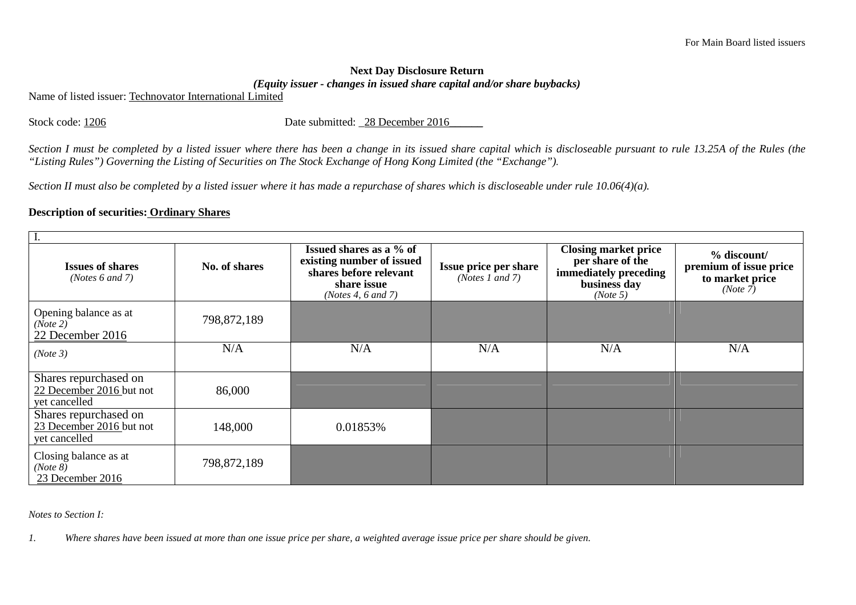## **Next Day Disclosure Return** *(Equity issuer - changes in issued share capital and/or share buybacks)*

Name of listed issuer: Technovator International Limited

Stock code: 1206 Date submitted: \_28 December 2016

*Section I must be completed by a listed issuer where there has been a change in its issued share capital which is discloseable pursuant to rule 13.25A of the Rules (the "Listing Rules") Governing the Listing of Securities on The Stock Exchange of Hong Kong Limited (the "Exchange").* 

*Section II must also be completed by a listed issuer where it has made a repurchase of shares which is discloseable under rule 10.06(4)(a).* 

## **Description of securities: Ordinary Shares**

| <b>Issues of shares</b><br>( <i>Notes</i> $6$ and $7$ )            | No. of shares | Issued shares as a % of<br>existing number of issued<br>shares before relevant<br>share issue<br>(Notes 4, 6 and 7) | <b>Issue price per share</b><br>(Notes 1 and 7) | <b>Closing market price</b><br>per share of the<br>immediately preceding<br>business day<br>(Note 5) | % discount/<br>premium of issue price<br>to market price<br>(Note 7) |  |  |
|--------------------------------------------------------------------|---------------|---------------------------------------------------------------------------------------------------------------------|-------------------------------------------------|------------------------------------------------------------------------------------------------------|----------------------------------------------------------------------|--|--|
| Opening balance as at<br>(Note 2)<br>22 December 2016              | 798,872,189   |                                                                                                                     |                                                 |                                                                                                      |                                                                      |  |  |
| (Note 3)                                                           | N/A           | N/A                                                                                                                 | N/A                                             | N/A                                                                                                  | N/A                                                                  |  |  |
| Shares repurchased on<br>22 December 2016 but not<br>yet cancelled | 86,000        |                                                                                                                     |                                                 |                                                                                                      |                                                                      |  |  |
| Shares repurchased on<br>23 December 2016 but not<br>yet cancelled | 148,000       | 0.01853%                                                                                                            |                                                 |                                                                                                      |                                                                      |  |  |
| Closing balance as at<br>(Note 8)<br>23 December 2016              | 798,872,189   |                                                                                                                     |                                                 |                                                                                                      |                                                                      |  |  |

*Notes to Section I:* 

*1. Where shares have been issued at more than one issue price per share, a weighted average issue price per share should be given.*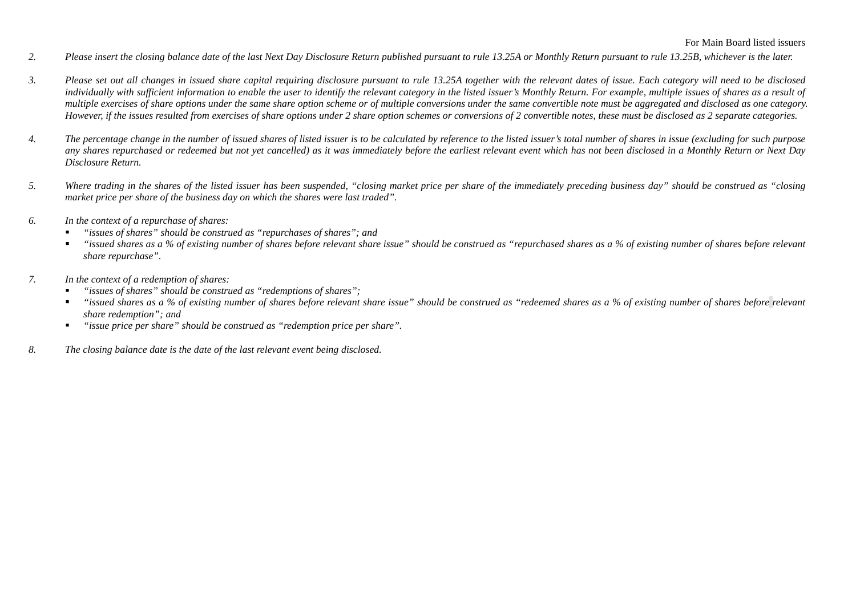- *2. Please insert the closing balance date of the last Next Day Disclosure Return published pursuant to rule 13.25A or Monthly Return pursuant to rule 13.25B, whichever is the later.*
- *3. Please set out all changes in issued share capital requiring disclosure pursuant to rule 13.25A together with the relevant dates of issue. Each category will need to be disclosed individually with sufficient information to enable the user to identify the relevant category in the listed issuer's Monthly Return. For example, multiple issues of shares as a result of multiple exercises of share options under the same share option scheme or of multiple conversions under the same convertible note must be aggregated and disclosed as one category. However, if the issues resulted from exercises of share options under 2 share option schemes or conversions of 2 convertible notes, these must be disclosed as 2 separate categories.*
- *4. The percentage change in the number of issued shares of listed issuer is to be calculated by reference to the listed issuer's total number of shares in issue (excluding for such purpose any shares repurchased or redeemed but not yet cancelled) as it was immediately before the earliest relevant event which has not been disclosed in a Monthly Return or Next Day Disclosure Return.*
- *5. Where trading in the shares of the listed issuer has been suspended, "closing market price per share of the immediately preceding business day" should be construed as "closing market price per share of the business day on which the shares were last traded".*
- *6. In the context of a repurchase of shares:* 
	- *"issues of shares" should be construed as "repurchases of shares"; and*
	- *"issued shares as a % of existing number of shares before relevant share issue" should be construed as "repurchased shares as a % of existing number of shares before relevant share repurchase".*
- *7. In the context of a redemption of shares:* 
	- *"issues of shares" should be construed as "redemptions of shares";*
	- $\blacksquare$  *"issued shares as a % of existing number of shares before relevant share issue" should be construed as "redeemed shares as a % of existing number of shares before relevant share redemption"; and*
	- *"issue price per share" should be construed as "redemption price per share".*   $\blacksquare$
- *8. The closing balance date is the date of the last relevant event being disclosed.*